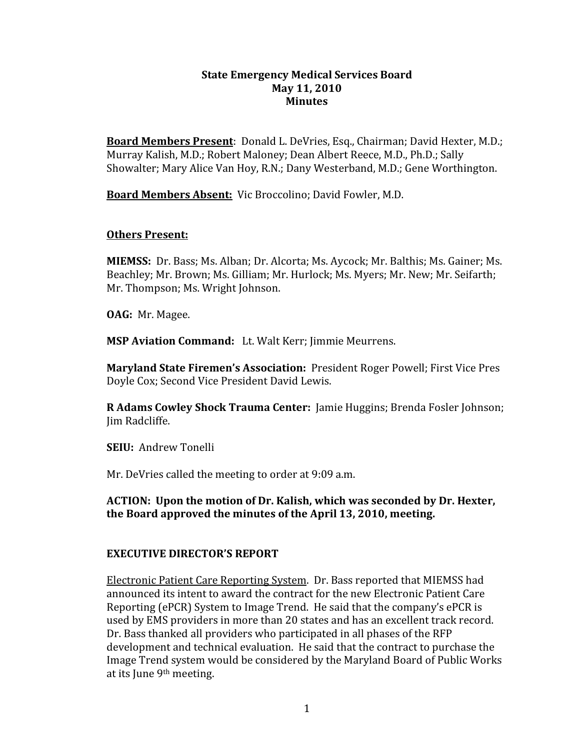## **State
Emergency
Medical
Services Board May
11,
2010 Minutes**

Board Members Present: Donald L. DeVries, Esq., Chairman; David Hexter, M.D.; Murray
Kalish,
M.D.;
Robert
Maloney;
Dean
Albert
Reece,
M.D.,
Ph.D.;
Sally Showalter;
Mary
Alice
Van
Hoy,
R.N.; Dany
Westerband,
M.D.;
Gene Worthington.

**Board
Members
Absent:**Vic
Broccolino;
David
Fowler,
M.D.

## **Others
Present:**

**MIEMSS:** Dr. Bass: Ms. Alban: Dr. Alcorta: Ms. Aycock: Mr. Balthis: Ms. Gainer: Ms. Beachley; Mr. Brown; Ms. Gilliam; Mr. Hurlock; Ms. Myers; Mr. New; Mr. Seifarth; Mr. Thompson; Ms. Wright Johnson.

**OAG:** Mr. Magee.

**MSP
Aviation
Command:**Lt.
Walt
Kerr;
Jimmie
Meurrens.

Maryland State Firemen's Association: President Roger Powell; First Vice Pres Doyle
Cox;
Second
Vice
President
David
Lewis.

**R Adams Cowley Shock Trauma Center:** Jamie Huggins; Brenda Fosler Johnson; Jim
Radcliffe.

**SEIU:**Andrew
Tonelli

Mr. DeVries called the meeting to order at 9:09 a.m.

# **ACTION:

Upon
the
motion
of
Dr.
Kalish,
which
was
seconded
by
Dr.
Hexter, the
Board
approved
the minutes
of
the
April 13, 2010, meeting.**

# **EXECUTIVE
DIRECTOR'S
REPORT**

Electronic
Patient
Care
Reporting
System.

Dr.
Bass
reported
that
MIEMSS
had announced its intent
to
award the contract for
the
new
Electronic
Patient
Care Reporting
(ePCR)
System to
Image
Trend.

He
said
that
the
company's
ePCR
is used
by
EMS
providers in
more
than
20
states
and
has
an
excellent
track
record. Dr.
Bass
thanked all
providers who
participated
in all
phases
of
the
RFP development
and
technical
evaluation.

He
said that
the
contract to purchase
the Image
Trend
system would
be
considered
by
the
Maryland
Board
of
Public
Works at
its
June
9th
meeting.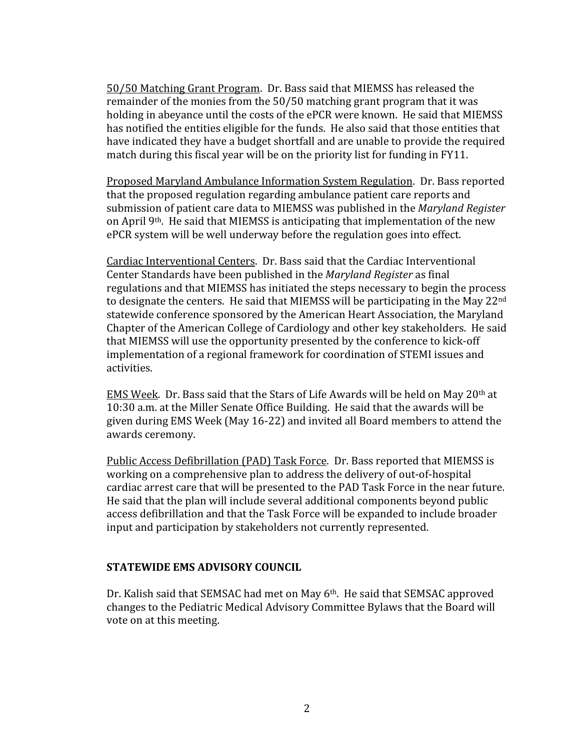50/50
Matching
Grant
Program.

Dr.
Bass
said
that
MIEMSS
has released the remainder
of
the
monies
from
the 50/50 matching grant
program that
it
was holding in abevance until the costs of the ePCR were known. He said that MIEMSS has notified the entities eligible for the funds. He also said that those entities that have indicated they have a budget shortfall and are unable to provide the required match
during
this
fiscal
year
will
be
on
the
priority
list
for
funding
in FY11.

Proposed Maryland
Ambulance
Information
System
Regulation.

Dr.
Bass
reported that
the
proposed
regulation
regarding
ambulance
patient
care
reports
and submission
of
patient
care
data
to
MIEMSS was
published
in
the *Maryland
Register* on
April 9th.

He
said
that
MIEMSS is
anticipating
that implementation
of
the
new ePCR
system
will
be
well
underway
before
the
regulation
goes
into
effect.

Cardiac Interventional Centers. Dr. Bass said that the Cardiac Interventional Center
Standards
have
been
published
in
the *Maryland
Register*as
final regulations
and
that
MIEMSS
has
initiated
the
steps
necessary
to
begin
the
process to designate the centers. He said that MIEMSS will be participating in the May 22<sup>nd</sup> statewide conference sponsored
by
the
American
Heart
Association,
the
Maryland Chapter
of
the
American
College
of
Cardiology
and
other
key stakeholders. He
said that
MIEMSS
will use
the
opportunity
presented
by
the
conference
to kick‐off implementation of a regional framework for coordination of STEMI issues and activities.

EMS Week. Dr. Bass said that the Stars of Life Awards will be held on May 20<sup>th</sup> at 10:30
a.m.
at
the
Miller
Senate
Office
Building.

He
said
that
the
awards
will
be given
during EMS
Week
(May
16‐22)
and invited
all
Board
members
to
attend
the awards
ceremony.

Public Access Defibrillation (PAD) Task Force. Dr. Bass reported that MIEMSS is working on a comprehensive plan to address the delivery of out-of-hospital cardiac arrest care that will be presented to the PAD Task Force in the near future. He
said
that
the
plan
will
include
several
additional
components
beyond
public access
defibrillation
and
that
the
Task
Force
will
be expanded
to
include
broader input
and
participation
by
stakeholders
not
currently
represented.

#### **STATEWIDE
EMS
ADVISORY
COUNCIL**

Dr. Kalish said that SEMSAC had met on May 6<sup>th</sup>. He said that SEMSAC approved changes
to
the
Pediatric
Medical
Advisory
Committee
Bylaws
that
the
Board will vote
on
at
this
meeting.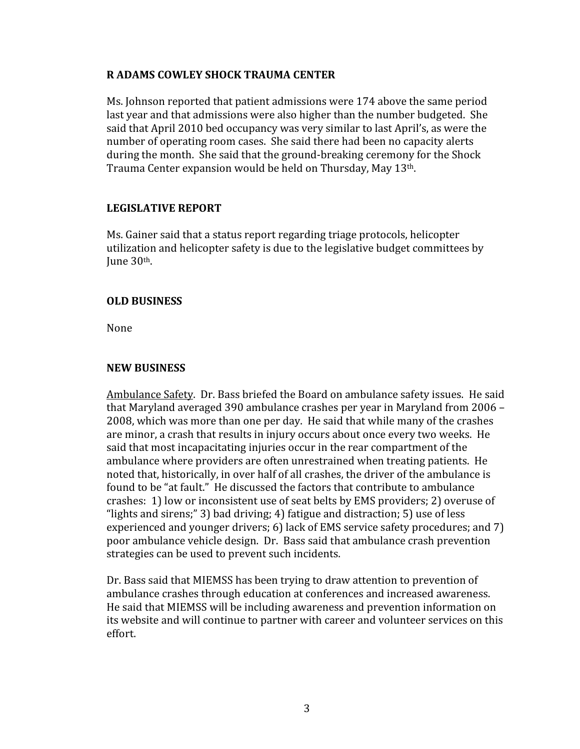## **R
ADAMS
COWLEY
SHOCK
TRAUMA
CENTER**

Ms.
Johnson
reported
that
patient
admissions
were
174
above
the
same
period last
year
and
that
admissions
were
also
higher
than
the
number
budgeted.

She said that April 2010 bed occupancy was very similar to last April's, as were the number
of
operating
room
cases.

She
said
there
had
been
no
capacity alerts during the
month.

She
said
that
the
ground‐breaking
ceremony
for
the
Shock Trauma Center expansion would be held on Thursday, May 13th.

## **LEGISLATIVE
REPORT**

Ms.
Gainer
said
that
a status
report
regarding
triage
protocols,
helicopter utilization
and
helicopter
safety
is
due
to
the
legislative
budget
committees
by Iune 30<sup>th</sup>.

## **OLD
BUSINESS**

None

#### **NEW
BUSINESS**

Ambulance
Safety.

Dr.
Bass
briefed
the
Board
on
ambulance
safety
issues.

He said that Maryland
averaged 390
ambulance
crashes
per
year
in
Maryland
from
2006 – 2008, which
was more
than
one
per
day.

He
said
that
while
many
of
the
crashes are
minor,
a
crash
that
results
in
injury
occurs
about
once
every
two
weeks.

He said that most incapacitating injuries occur in the rear compartment of the ambulance where
providers
are often
unrestrained
when treating
patients.

He noted
that,
historically, in
over
half of
all
crashes, the
driver
of
the
ambulance
is found to be "at fault." He discussed the factors that contribute to ambulance crashes:

1)
low
or
inconsistent
use
of
seat
belts
by
EMS
providers;
2)
overuse
of "lights
and
sirens;"
3)
bad
driving;
4)
fatigue
and
distraction;
5)
use
of
less experienced and younger drivers; 6) lack of EMS service safety procedures; and 7) poor
ambulance
vehicle
design.

Dr.

Bass said
that
ambulance
crash
prevention strategies
can
be
used
to
prevent
such
incidents.

Dr.
Bass
said
that
MIEMSS
has
been
trying
to
draw
attention
to
prevention of ambulance
crashes
through
education
at
conferences and
increased awareness. He
said
that
MIEMSS
will
be
including
awareness
and
prevention
information on its
website and
will
continue
to
partner with career
and
volunteer
services on
this effort.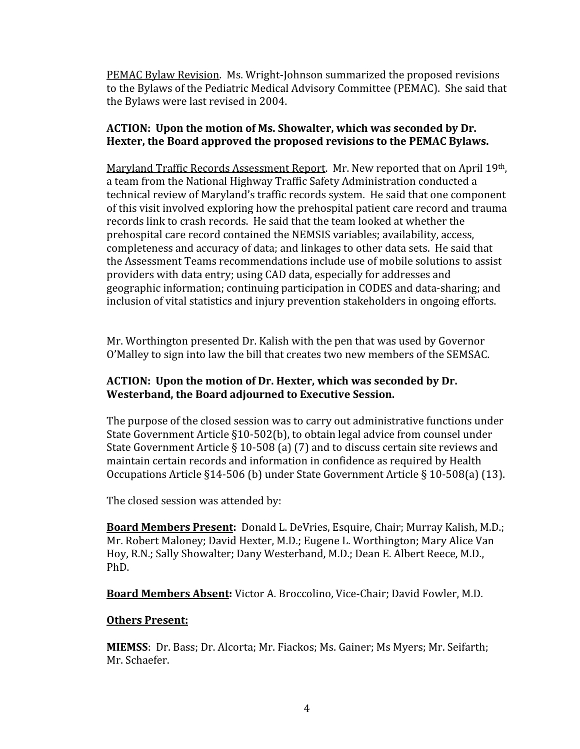PEMAC
Bylaw
Revision.

Ms.
Wright‐Johnson
summarized
the
proposed
revisions to the Bylaws of the Pediatric Medical Advisory Committee (PEMAC). She said that the
Bylaws
were
last
revised
in
2004.

# **ACTION:

Upon
the
motion
of
Ms.
Showalter,
which
was
seconded
by
Dr.** Hexter, the Board approved the proposed revisions to the PEMAC Bylaws.

Maryland Traffic Records Assessment Report. Mr. New reported that on April 19th, a
team
from
the
National
Highway
Traffic
Safety
Administration
conducted
a technical
review
of
Maryland's
traffic
records
system.

He said
that
one
component of
this
visit
involved
exploring
how
the prehospital
patient
care
record
and
trauma records link
to crash
records.

He
said
that
the
team
looked
at
whether
the prehospital
care
record
contained
the
NEMSIS
variables; availability, access, completeness
and
accuracy
of
data; and
linkages
to
other
data
sets.

He
said
that the
Assessment
Teams
recommendations
include
use
of mobile
solutions
to
assist providers
with
data
entry;
using
CAD
data,
especially
for
addresses
and geographic
information;
continuing participation
in CODES
and
data‐sharing;
and inclusion of
vital
statistics
and
injury
prevention
stakeholders
in
ongoing
efforts.

Mr. Worthington
presented
Dr.
Kalish
with
the pen that
was
used by
Governor O'Malley to
sign into
law the
bill
that creates two
new
members of
the SEMSAC.

# **ACTION:

Upon
the
motion
of
Dr.
Hexter,
which
was
seconded
by
Dr. Westerband,
the
Board adjourned
to
Executive
Session.**

The purpose of the closed session was to carry out administrative functions under State Government Article §10-502(b), to obtain legal advice from counsel under State Government Article § 10-508 (a) (7) and to discuss certain site reviews and maintain
certain
records
and
information
in
confidence
as
required
by
Health Occupations Article §14-506 (b) under State Government Article § 10-508(a) (13).

The
closed
session
was attended
by:

**Board Members Present:** Donald L. DeVries, Esquire, Chair; Murray Kalish, M.D.; Mr.
Robert
Maloney;
David
Hexter,
M.D.;
Eugene
L.
Worthington;
Mary
Alice
Van Hoy,
R.N.;
Sally
Showalter;
Dany
Westerband,
M.D.; Dean
E.
Albert
Reece,
M.D., PhD.

Board Members Absent: Victor A. Broccolino, Vice-Chair; David Fowler, M.D.

# **Others
Present:**

**MIEMSS**: Dr. Bass; Dr. Alcorta; Mr. Fiackos; Ms. Gainer; Ms Myers; Mr. Seifarth; Mr.
Schaefer.